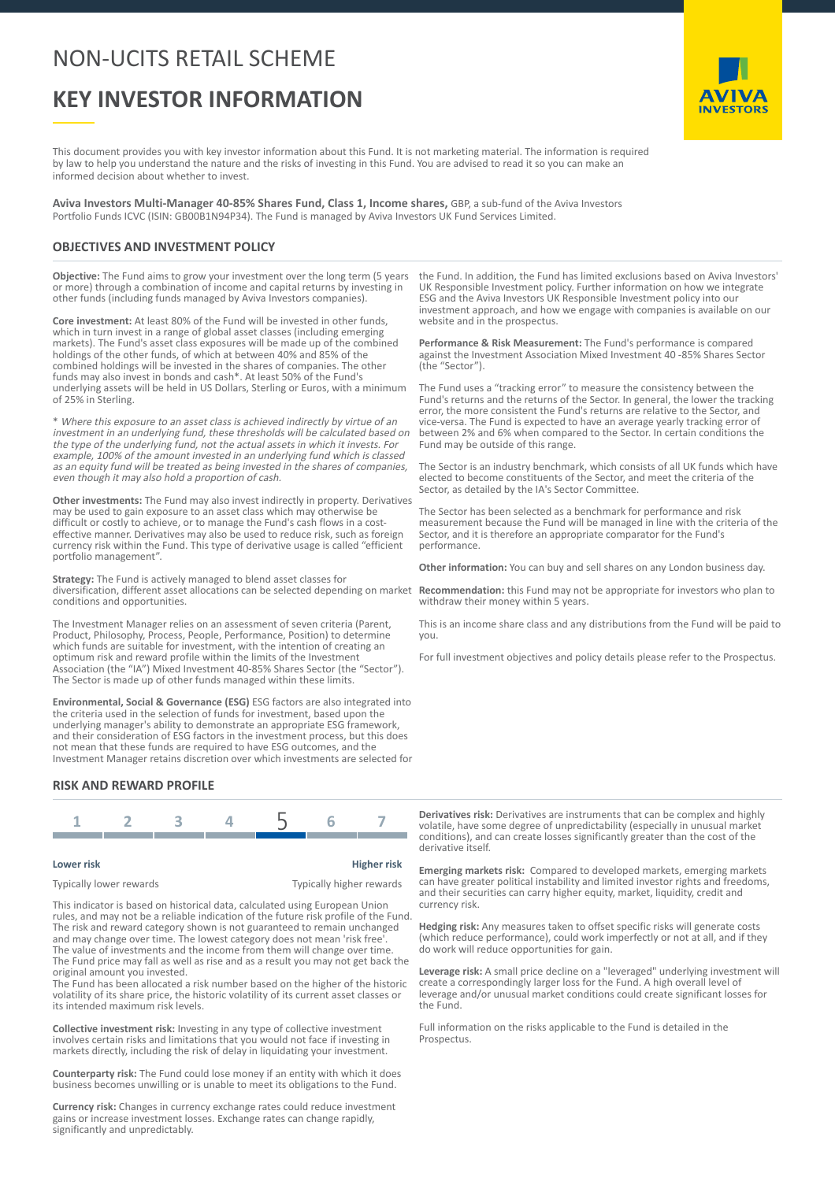## NON-UCITS RETAIL SCHEME

# **KEY INVESTOR INFORMATION**

AVIVA **INVESTORS** 

This document provides you with key investor information about this Fund. It is not marketing material. The information is required by law to help you understand the nature and the risks of investing in this Fund. You are advised to read it so you can make an informed decision about whether to invest.

**Aviva Investors Multi-Manager 40-85% Shares Fund, Class 1, Income shares,** GBP, a sub-fund of the Aviva Investors Portfolio Funds ICVC (ISIN: GB00B1N94P34). The Fund is managed by Aviva Investors UK Fund Services Limited.

#### **OBJECTIVES AND INVESTMENT POLICY**

**Objective:** The Fund aims to grow your investment over the long term (5 years or more) through a combination of income and capital returns by investing in other funds (including funds managed by Aviva Investors companies).

**Core investment:** At least 80% of the Fund will be invested in other funds, which in turn invest in a range of global asset classes (including emerging markets). The Fund's asset class exposures will be made up of the combined holdings of the other funds, of which at between 40% and 85% of the combined holdings will be invested in the shares of companies. The other funds may also invest in bonds and cash\*. At least 50% of the Fund's underlying assets will be held in US Dollars, Sterling or Euros, with a minimum of 25% in Sterling.

\* Where this exposure to an asset class is achieved indirectly by virtue of an investment in an underlying fund, these thresholds will be calculated based on the type of the underlying fund, not the actual assets in which it invests. For example, 100% of the amount invested in an underlying fund which is classed as an equity fund will be treated as being invested in the shares of companies, even though it may also hold a proportion of cash.

**Other investments:** The Fund may also invest indirectly in property. Derivatives may be used to gain exposure to an asset class which may otherwise be difficult or costly to achieve, or to manage the Fund's cash flows in a costeffective manner. Derivatives may also be used to reduce risk, such as foreign currency risk within the Fund. This type of derivative usage is called "efficient portfolio management".

**Strategy:** The Fund is actively managed to blend asset classes for diversification, different asset allocations can be selected depending on market conditions and opportunities.

The Investment Manager relies on an assessment of seven criteria (Parent, Product, Philosophy, Process, People, Performance, Position) to determine which funds are suitable for investment, with the intention of creating an optimum risk and reward profile within the limits of the Investment Association (the "IA") Mixed Investment 40-85% Shares Sector (the "Sector"). The Sector is made up of other funds managed within these limits.

**Environmental, Social & Governance (ESG)** ESG factors are also integrated into the criteria used in the selection of funds for investment, based upon the underlying manager's ability to demonstrate an appropriate ESG framework, and their consideration of ESG factors in the investment process, but this does not mean that these funds are required to have ESG outcomes, and the Investment Manager retains discretion over which investments are selected for

#### **RISK AND REWARD PROFILE**



| Lower risk              | <b>Higher risk</b>       |
|-------------------------|--------------------------|
| Typically lower rewards | Typically higher rewards |

This indicator is based on historical data, calculated using European Union rules, and may not be a reliable indication of the future risk profile of the Fund. The risk and reward category shown is not guaranteed to remain unchanged and may change over time. The lowest category does not mean 'risk free'. The value of investments and the income from them will change over time. The Fund price may fall as well as rise and as a result you may not get back the original amount you invested.

The Fund has been allocated a risk number based on the higher of the historic volatility of its share price, the historic volatility of its current asset classes or its intended maximum risk levels.

**Collective investment risk:** Investing in any type of collective investment involves certain risks and limitations that you would not face if investing in markets directly, including the risk of delay in liquidating your investment.

**Counterparty risk:** The Fund could lose money if an entity with which it does business becomes unwilling or is unable to meet its obligations to the Fund.

**Currency risk:** Changes in currency exchange rates could reduce investment gains or increase investment losses. Exchange rates can change rapidly, significantly and unpredictably.

the Fund. In addition, the Fund has limited exclusions based on Aviva Investors' UK Responsible Investment policy. Further information on how we integrate ESG and the Aviva Investors UK Responsible Investment policy into our investment approach, and how we engage with companies is available on our website and in the prospectus.

**Performance & Risk Measurement:** The Fund's performance is compared against the Investment Association Mixed Investment 40 -85% Shares Sector (the "Sector").

The Fund uses a "tracking error" to measure the consistency between the Fund's returns and the returns of the Sector. In general, the lower the tracking error, the more consistent the Fund's returns are relative to the Sector, and vice-versa. The Fund is expected to have an average yearly tracking error of between 2% and 6% when compared to the Sector. In certain conditions the Fund may be outside of this range.

The Sector is an industry benchmark, which consists of all UK funds which have elected to become constituents of the Sector, and meet the criteria of the Sector, as detailed by the IA's Sector Committee.

The Sector has been selected as a benchmark for performance and risk measurement because the Fund will be managed in line with the criteria of the Sector, and it is therefore an appropriate comparator for the Fund's performance.

**Other information:** You can buy and sell shares on any London business day.

**Recommendation:** this Fund may not be appropriate for investors who plan to withdraw their money within 5 years.

This is an income share class and any distributions from the Fund will be paid to you.

For full investment objectives and policy details please refer to the Prospectus.

**Derivatives risk:** Derivatives are instruments that can be complex and highly volatile, have some degree of unpredictability (especially in unusual market conditions), and can create losses significantly greater than the cost of the derivative itself.

**Emerging markets risk:** Compared to developed markets, emerging markets can have greater political instability and limited investor rights and freedoms, and their securities can carry higher equity, market, liquidity, credit and currency risk.

**Hedging risk:** Any measures taken to offset specific risks will generate costs (which reduce performance), could work imperfectly or not at all, and if they do work will reduce opportunities for gain.

**Leverage risk:** A small price decline on a "leveraged" underlying investment will create a correspondingly larger loss for the Fund. A high overall level of leverage and/or unusual market conditions could create significant losses for the Fund.

Full information on the risks applicable to the Fund is detailed in the Prospectus.